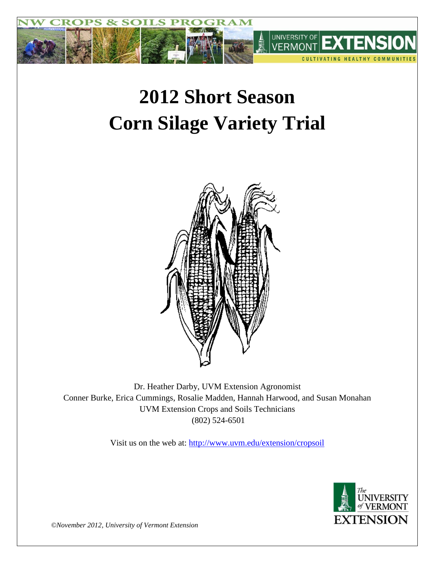

# **2012 Short Season Corn Silage Variety Trial**



Dr. Heather Darby, UVM Extension Agronomist Conner Burke, Erica Cummings, Rosalie Madden, Hannah Harwood, and Susan Monahan UVM Extension Crops and Soils Technicians (802) 524-6501

Visit us on the web at: <http://www.uvm.edu/extension/cropsoil>



*©November 2012, University of Vermont Extension*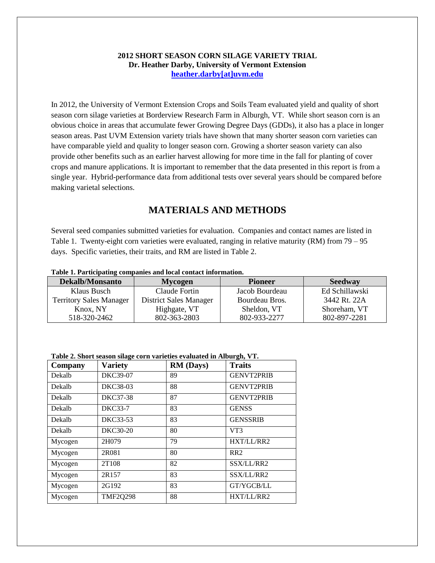#### **2012 SHORT SEASON CORN SILAGE VARIETY TRIAL Dr. Heather Darby, University of Vermont Extension [heather.darby\[at\]uvm.edu](mailto:heather.darby@uvm.edu?subject=2012%20Short%20Season%20Corn%20Report)**

In 2012, the University of Vermont Extension Crops and Soils Team evaluated yield and quality of short season corn silage varieties at Borderview Research Farm in Alburgh, VT. While short season corn is an obvious choice in areas that accumulate fewer Growing Degree Days (GDDs), it also has a place in longer season areas. Past UVM Extension variety trials have shown that many shorter season corn varieties can have comparable yield and quality to longer season corn. Growing a shorter season variety can also provide other benefits such as an earlier harvest allowing for more time in the fall for planting of cover crops and manure applications. It is important to remember that the data presented in this report is from a single year. Hybrid-performance data from additional tests over several years should be compared before making varietal selections.

## **MATERIALS AND METHODS**

Several seed companies submitted varieties for evaluation. Companies and contact names are listed in Table 1. Twenty-eight corn varieties were evaluated, ranging in relative maturity (RM) from 79 – 95 days. Specific varieties, their traits, and RM are listed in Table 2.

#### **Table 1. Participating companies and local contact information.**

| <b>Dekalb/Monsanto</b>         | <b>Pioneer</b><br><b>Mycogen</b> |                | <b>Seedway</b> |  |  |  |  |
|--------------------------------|----------------------------------|----------------|----------------|--|--|--|--|
| Klaus Busch                    | Claude Fortin                    | Jacob Bourdeau | Ed Schillawski |  |  |  |  |
| <b>Territory Sales Manager</b> | <b>District Sales Manager</b>    | Bourdeau Bros. | 3442 Rt. 22A   |  |  |  |  |
| Knox, NY                       | Highgate, VT                     | Sheldon, VT    | Shoreham, VT   |  |  |  |  |
| 518-320-2462                   | 802-363-2803                     | 802-933-2277   | 802-897-2281   |  |  |  |  |

| Table 2. Short season silage corn varieties evaluated in Alburgh, VT. |  |  |  |
|-----------------------------------------------------------------------|--|--|--|
|                                                                       |  |  |  |

| Company | <b>Variety</b>  | <b>RM</b> (Days) | <b>Traits</b>     |
|---------|-----------------|------------------|-------------------|
| Dekalb  | DKC39-07        | 89               | <b>GENVT2PRIB</b> |
| Dekalb  | DKC38-03        | 88               | <b>GENVT2PRIB</b> |
| Dekalb  | DKC37-38        | 87               | <b>GENVT2PRIB</b> |
| Dekalb  | <b>DKC33-7</b>  | 83               | <b>GENSS</b>      |
| Dekalb  | DKC33-53        | 83               | <b>GENSSRIB</b>   |
| Dekalb  | DKC30-20        | 80               | VT3               |
| Mycogen | 2H079           | 79               | HXT/LL/RR2        |
| Mycogen | 2R081           | 80               | RR <sub>2</sub>   |
| Mycogen | 2T108           | 82               | SSX/LL/RR2        |
| Mycogen | 2R157           | 83               | SSX/LL/RR2        |
| Mycogen | 2G192           | 83               | GT/YGCB/LL        |
| Mycogen | <b>TMF2Q298</b> | 88               | HXT/LL/RR2        |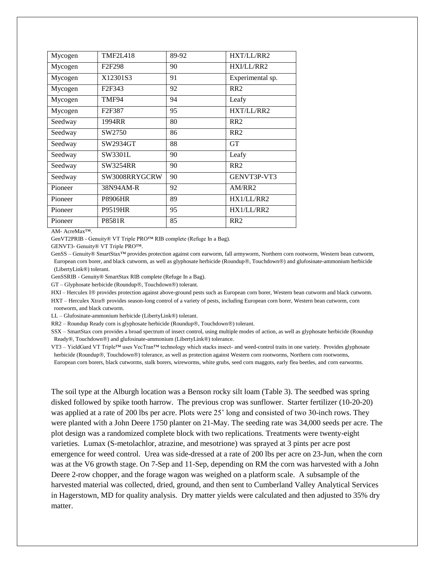| Mycogen | <b>TMF2L418</b>                 | 89-92 | HXT/LL/RR2       |
|---------|---------------------------------|-------|------------------|
| Mycogen | F <sub>2</sub> F <sub>298</sub> | 90    | HXI/LL/RR2       |
| Mycogen | X12301S3                        | 91    | Experimental sp. |
| Mycogen | F <sub>2</sub> F <sub>343</sub> | 92    | RR <sub>2</sub>  |
| Mycogen | TMF94                           | 94    | Leafy            |
| Mycogen | F <sub>2</sub> F <sub>387</sub> | 95    | HXT/LL/RR2       |
| Seedway | 1994RR                          | 80    | RR <sub>2</sub>  |
| Seedway | SW2750                          | 86    | RR2              |
| Seedway | SW2934GT                        | 88    | <b>GT</b>        |
| Seedway | SW3301L                         | 90    | Leafy            |
| Seedway | <b>SW3254RR</b>                 | 90    | RR2              |
| Seedway | SW3008RRYGCRW                   | 90    | GENVT3P-VT3      |
| Pioneer | 38N94AM-R                       | 92    | AM/RR2           |
| Pioneer | <b>P8906HR</b>                  | 89    | HX1/LL/RR2       |
| Pioneer | <b>P9519HR</b>                  | 95    | HX1/LL/RR2       |
| Pioneer | P8581R                          | 85    | RR <sub>2</sub>  |

AM- AcreMax™.

GenVT2PRIB - Genuity® VT Triple PRO™ RIB complete (Refuge In a Bag).

GENVT3- Genuity® VT Triple PRO™.

GenSS – Genuity® SmartStax™ provides protection against corn earworm, fall armyworm, Northern corn rootworm, Western bean cutworm, European corn borer, and black cutworm, as well as glyphosate herbicide (Roundup®, Touchdown®) and glufosinate-ammonium herbicide (LibertyLink®) tolerant.

GenSSRIB - Genuity® SmartStax RIB complete (Refuge In a Bag).

GT - Glyphosate herbicide (Roundup®, Touchdown®) tolerant.

HXI – Herculex I® provides protection against above-ground pests such as European corn borer, Western bean cutworm and black cutworm. HXT - Herculex Xtra® provides season-long control of a variety of pests, including European corn borer, Western bean cutworm, corn rootworm, and black cutworm.

LL – Glufosinate-ammonium herbicide (LibertyLink®) tolerant.

RR2 – Roundup Ready corn is glyphosate herbicide (Roundup®, Touchdown®) tolerant.

SSX – SmartStax corn provides a broad spectrum of insect control, using multiple modes of action, as well as glyphosate herbicide (Roundup Ready®, Touchdown®) and glufosinate-ammonium (LibertyLink®) tolerance.

VT3 – YieldGard VT Triple™ uses VecTran™ technology which stacks insect- and weed-control traits in one variety. Provides glyphosate herbicide (Roundup®, Touchdown®) tolerance, as well as protection against Western corn rootworms, Northern corn rootworms,

European corn borers, black cutworms, stalk borers, wireworms, white grubs, seed corn maggots, early flea beetles, and corn earworms.

The soil type at the Alburgh location was a Benson rocky silt loam (Table 3). The seedbed was spring disked followed by spike tooth harrow. The previous crop was sunflower. Starter fertilizer (10-20-20) was applied at a rate of 200 lbs per acre. Plots were 25' long and consisted of two 30-inch rows. They were planted with a John Deere 1750 planter on 21-May. The seeding rate was 34,000 seeds per acre. The plot design was a randomized complete block with two replications. Treatments were twenty-eight varieties. Lumax (S-metolachlor, atrazine, and mesotrione) was sprayed at 3 pints per acre post emergence for weed control. Urea was side-dressed at a rate of 200 lbs per acre on 23-Jun, when the corn was at the V6 growth stage. On 7-Sep and 11-Sep, depending on RM the corn was harvested with a John Deere 2-row chopper, and the forage wagon was weighed on a platform scale. A subsample of the harvested material was collected, dried, ground, and then sent to Cumberland Valley Analytical Services in Hagerstown, MD for quality analysis. Dry matter yields were calculated and then adjusted to 35% dry matter.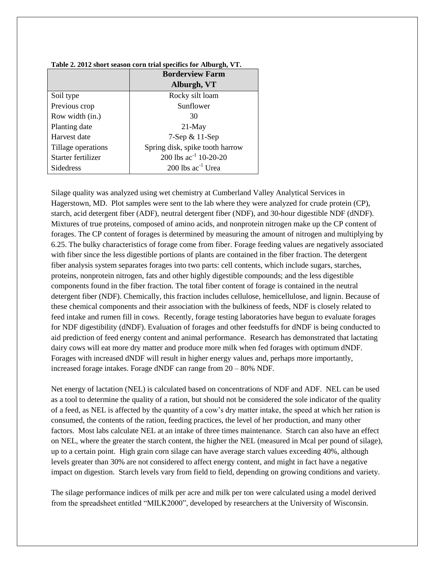|                    | <b>Borderview Farm</b>          |
|--------------------|---------------------------------|
|                    | Alburgh, VT                     |
| Soil type          | Rocky silt loam                 |
| Previous crop      | Sunflower                       |
| Row width (in.)    | 30                              |
| Planting date      | $21$ -May                       |
| Harvest date       | $7$ -Sep & 11-Sep               |
| Tillage operations | Spring disk, spike tooth harrow |
| Starter fertilizer | 200 lbs $ac^{-1}$ 10-20-20      |
| Sidedress          | 200 lbs $ac^{-1}$ Urea          |

#### **Table 2. 2012 short season corn trial specifics for Alburgh, VT.**

Silage quality was analyzed using wet chemistry at Cumberland Valley Analytical Services in Hagerstown, MD. Plot samples were sent to the lab where they were analyzed for crude protein (CP), starch, acid detergent fiber (ADF), neutral detergent fiber (NDF), and 30-hour digestible NDF (dNDF). Mixtures of true proteins, composed of amino acids, and nonprotein nitrogen make up the CP content of forages. The CP content of forages is determined by measuring the amount of nitrogen and multiplying by 6.25. The bulky characteristics of forage come from fiber. Forage feeding values are negatively associated with fiber since the less digestible portions of plants are contained in the fiber fraction. The detergent fiber analysis system separates forages into two parts: cell contents, which include sugars, starches, proteins, nonprotein nitrogen, fats and other highly digestible compounds; and the less digestible components found in the fiber fraction. The total fiber content of forage is contained in the neutral detergent fiber (NDF). Chemically, this fraction includes cellulose, hemicellulose, and lignin. Because of these chemical components and their association with the bulkiness of feeds, NDF is closely related to feed intake and rumen fill in cows. Recently, forage testing laboratories have begun to evaluate forages for NDF digestibility (dNDF). Evaluation of forages and other feedstuffs for dNDF is being conducted to aid prediction of feed energy content and animal performance. Research has demonstrated that lactating dairy cows will eat more dry matter and produce more milk when fed forages with optimum dNDF. Forages with increased dNDF will result in higher energy values and, perhaps more importantly, increased forage intakes. Forage dNDF can range from 20 – 80% NDF.

Net energy of lactation (NEL) is calculated based on concentrations of NDF and ADF. NEL can be used as a tool to determine the quality of a ration, but should not be considered the sole indicator of the quality of a feed, as NEL is affected by the quantity of a cow's dry matter intake, the speed at which her ration is consumed, the contents of the ration, feeding practices, the level of her production, and many other factors. Most labs calculate NEL at an intake of three times maintenance. Starch can also have an effect on NEL, where the greater the starch content, the higher the NEL (measured in Mcal per pound of silage), up to a certain point. High grain corn silage can have average starch values exceeding 40%, although levels greater than 30% are not considered to affect energy content, and might in fact have a negative impact on digestion. Starch levels vary from field to field, depending on growing conditions and variety.

The silage performance indices of milk per acre and milk per ton were calculated using a model derived from the spreadsheet entitled "MILK2000", developed by researchers at the University of Wisconsin.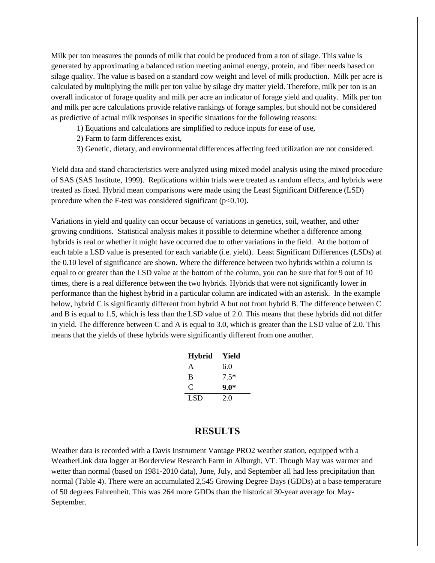Milk per ton measures the pounds of milk that could be produced from a ton of silage. This value is generated by approximating a balanced ration meeting animal energy, protein, and fiber needs based on silage quality. The value is based on a standard cow weight and level of milk production. Milk per acre is calculated by multiplying the milk per ton value by silage dry matter yield. Therefore, milk per ton is an overall indicator of forage quality and milk per acre an indicator of forage yield and quality. Milk per ton and milk per acre calculations provide relative rankings of forage samples, but should not be considered as predictive of actual milk responses in specific situations for the following reasons:

- 1) Equations and calculations are simplified to reduce inputs for ease of use,
- 2) Farm to farm differences exist,
- 3) Genetic, dietary, and environmental differences affecting feed utilization are not considered.

Yield data and stand characteristics were analyzed using mixed model analysis using the mixed procedure of SAS (SAS Institute, 1999). Replications within trials were treated as random effects, and hybrids were treated as fixed. Hybrid mean comparisons were made using the Least Significant Difference (LSD) procedure when the F-test was considered significant  $(p<0.10)$ .

Variations in yield and quality can occur because of variations in genetics, soil, weather, and other growing conditions. Statistical analysis makes it possible to determine whether a difference among hybrids is real or whether it might have occurred due to other variations in the field. At the bottom of each table a LSD value is presented for each variable (i.e. yield). Least Significant Differences (LSDs) at the 0.10 level of significance are shown. Where the difference between two hybrids within a column is equal to or greater than the LSD value at the bottom of the column, you can be sure that for 9 out of 10 times, there is a real difference between the two hybrids. Hybrids that were not significantly lower in performance than the highest hybrid in a particular column are indicated with an asterisk. In the example below, hybrid C is significantly different from hybrid A but not from hybrid B. The difference between C and B is equal to 1.5, which is less than the LSD value of 2.0. This means that these hybrids did not differ in yield. The difference between C and A is equal to 3.0, which is greater than the LSD value of 2.0. This means that the yields of these hybrids were significantly different from one another.

| <b>Hybrid</b> | Yield  |
|---------------|--------|
| A             | 6.0    |
| B             | $7.5*$ |
| $\subset$     | 9.0*   |
| LSD.          | 2.0    |

## **RESULTS**

Weather data is recorded with a Davis Instrument Vantage PRO2 weather station, equipped with a WeatherLink data logger at Borderview Research Farm in Alburgh, VT. Though May was warmer and wetter than normal (based on 1981-2010 data), June, July, and September all had less precipitation than normal (Table 4). There were an accumulated 2,545 Growing Degree Days (GDDs) at a base temperature of 50 degrees Fahrenheit. This was 264 more GDDs than the historical 30-year average for May-September.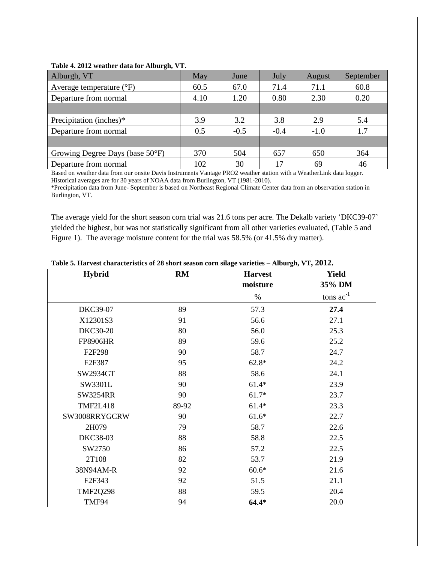| - -<br>Alburgh, VT                | May  | June   | July   | August | September |
|-----------------------------------|------|--------|--------|--------|-----------|
| Average temperature $(^{\circ}F)$ | 60.5 | 67.0   | 71.4   | 71.1   | 60.8      |
| Departure from normal             | 4.10 | 1.20   | 0.80   | 2.30   | 0.20      |
|                                   |      |        |        |        |           |
| Precipitation (inches)*           | 3.9  | 3.2    | 3.8    | 2.9    | 5.4       |
| Departure from normal             | 0.5  | $-0.5$ | $-0.4$ | $-1.0$ | 1.7       |
|                                   |      |        |        |        |           |
| Growing Degree Days (base 50°F)   | 370  | 504    | 657    | 650    | 364       |
| Departure from normal             | 102  | 30     |        | 69     | 46        |

#### **Table 4. 2012 weather data for Alburgh, VT.**

Based on weather data from our onsite Davis Instruments Vantage PRO2 weather station with a WeatherLink data logger. Historical averages are for 30 years of NOAA data from Burlington, VT (1981-2010).

\*Precipitation data from June- September is based on Northeast Regional Climate Center data from an observation station in Burlington, VT.

The average yield for the short season corn trial was 21.6 tons per acre. The Dekalb variety 'DKC39-07' yielded the highest, but was not statistically significant from all other varieties evaluated, (Table 5 and Figure 1). The average moisture content for the trial was 58.5% (or 41.5% dry matter).

| <b>Hybrid</b>       | RM    | <b>Harvest</b> | <b>Yield</b>   |
|---------------------|-------|----------------|----------------|
|                     |       | moisture       | 35% DM         |
|                     |       | $\%$           | tons $ac^{-1}$ |
| DKC39-07            | 89    | 57.3           | 27.4           |
| X12301S3            | 91    | 56.6           | 27.1           |
| <b>DKC30-20</b>     | 80    | 56.0           | 25.3           |
| <b>FP8906HR</b>     | 89    | 59.6           | 25.2           |
| F <sub>2F298</sub>  | 90    | 58.7           | 24.7           |
| F <sub>2F</sub> 387 | 95    | $62.8*$        | 24.2           |
| SW2934GT            | 88    | 58.6           | 24.1           |
| SW3301L             | 90    | $61.4*$        | 23.9           |
| <b>SW3254RR</b>     | 90    | $61.7*$        | 23.7           |
| <b>TMF2L418</b>     | 89-92 | $61.4*$        | 23.3           |
| SW3008RRYGCRW       | 90    | $61.6*$        | 22.7           |
| 2H079               | 79    | 58.7           | 22.6           |
| DKC38-03            | 88    | 58.8           | 22.5           |
| SW2750              | 86    | 57.2           | 22.5           |
| 2T108               | 82    | 53.7           | 21.9           |
| 38N94AM-R           | 92    | $60.6*$        | 21.6           |
| F <sub>2F</sub> 343 | 92    | 51.5           | 21.1           |
| <b>TMF2Q298</b>     | 88    | 59.5           | 20.4           |
| TMF94               | 94    | $64.4*$        | 20.0           |

**Table 5. Harvest characteristics of 28 short season corn silage varieties – Alburgh, VT, 2012.**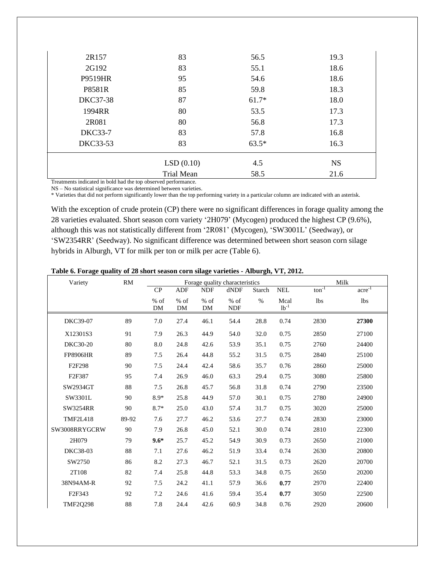| 2R157           | 83                   | 56.5    | 19.3      |
|-----------------|----------------------|---------|-----------|
| 2G192           | 83                   | 55.1    | 18.6      |
| P9519HR         | 95                   | 54.6    | 18.6      |
| P8581R          | 85                   | 59.8    | 18.3      |
| <b>DKC37-38</b> | 87                   | $61.7*$ | 18.0      |
| 1994RR          | 80                   | 53.5    | 17.3      |
| 2R081           | 80                   | 56.8    | 17.3      |
| <b>DKC33-7</b>  | 83                   | 57.8    | 16.8      |
| <b>DKC33-53</b> | 83                   | $63.5*$ | 16.3      |
|                 | LSD(0.10)            | 4.5     | <b>NS</b> |
| .<br>$\sim$     | Trial Mean<br>$\sim$ | 58.5    | 21.6      |

Treatments indicated in bold had the top observed performance. NS – No statistical significance was determined between varieties.

\* Varieties that did not perform significantly lower than the top performing variety in a particular column are indicated with an asterisk.

With the exception of crude protein (CP) there were no significant differences in forage quality among the 28 varieties evaluated. Short season corn variety '2H079' (Mycogen) produced the highest CP (9.6%), although this was not statistically different from '2R081' (Mycogen), 'SW3001L' (Seedway), or 'SW2354RR' (Seedway). No significant difference was determined between short season corn silage hybrids in Alburgh, VT for milk per ton or milk per acre (Table 6).

| Table 6. Forage quality of 28 short season corn silage varieties - Alburgh, VT, 2012. |  |  |
|---------------------------------------------------------------------------------------|--|--|
|                                                                                       |  |  |

| Variety             | <b>RM</b> |              | Forage quality characteristics |              |                      |               |                   | Milk              |                       |
|---------------------|-----------|--------------|--------------------------------|--------------|----------------------|---------------|-------------------|-------------------|-----------------------|
|                     |           | CP           | <b>ADF</b>                     | <b>NDF</b>   | dNDF                 | <b>Starch</b> | <b>NEL</b>        | $\text{ton}^{-1}$ | $\arctan \frac{1}{2}$ |
|                     |           | $%$ of<br>DM | $%$ of<br>DM                   | $%$ of<br>DM | $%$ of<br><b>NDF</b> | $\%$          | Mcal<br>$lb^{-1}$ | lbs               | lbs                   |
| DKC39-07            | 89        | 7.0          | 27.4                           | 46.1         | 54.4                 | 28.8          | 0.74              | 2830              | 27300                 |
| X12301S3            | 91        | 7.9          | 26.3                           | 44.9         | 54.0                 | 32.0          | 0.75              | 2850              | 27100                 |
| <b>DKC30-20</b>     | 80        | 8.0          | 24.8                           | 42.6         | 53.9                 | 35.1          | 0.75              | 2760              | 24400                 |
| <b>FP8906HR</b>     | 89        | 7.5          | 26.4                           | 44.8         | 55.2                 | 31.5          | 0.75              | 2840              | 25100                 |
| F2F298              | 90        | 7.5          | 24.4                           | 42.4         | 58.6                 | 35.7          | 0.76              | 2860              | 25000                 |
| F2F387              | 95        | 7.4          | 26.9                           | 46.0         | 63.3                 | 29.4          | 0.75              | 3080              | 25800                 |
| SW2934GT            | 88        | 7.5          | 26.8                           | 45.7         | 56.8                 | 31.8          | 0.74              | 2790              | 23500                 |
| SW3301L             | 90        | $8.9*$       | 25.8                           | 44.9         | 57.0                 | 30.1          | 0.75              | 2780              | 24900                 |
| SW3254RR            | 90        | $8.7*$       | 25.0                           | 43.0         | 57.4                 | 31.7          | 0.75              | 3020              | 25000                 |
| <b>TMF2L418</b>     | 89-92     | 7.6          | 27.7                           | 46.2         | 53.6                 | 27.7          | 0.74              | 2830              | 23000                 |
| SW3008RRYGCRW       | 90        | 7.9          | 26.8                           | 45.0         | 52.1                 | 30.0          | 0.74              | 2810              | 22300                 |
| 2H079               | 79        | $9.6*$       | 25.7                           | 45.2         | 54.9                 | 30.9          | 0.73              | 2650              | 21000                 |
| <b>DKC38-03</b>     | 88        | 7.1          | 27.6                           | 46.2         | 51.9                 | 33.4          | 0.74              | 2630              | 20800                 |
| SW2750              | 86        | 8.2          | 27.3                           | 46.7         | 52.1                 | 31.5          | 0.73              | 2620              | 20700                 |
| 2T108               | 82        | 7.4          | 25.8                           | 44.8         | 53.3                 | 34.8          | 0.75              | 2650              | 20200                 |
| 38N94AM-R           | 92        | 7.5          | 24.2                           | 41.1         | 57.9                 | 36.6          | 0.77              | 2970              | 22400                 |
| F <sub>2F</sub> 343 | 92        | 7.2          | 24.6                           | 41.6         | 59.4                 | 35.4          | 0.77              | 3050              | 22500                 |
| <b>TMF2Q298</b>     | 88        | 7.8          | 24.4                           | 42.6         | 60.9                 | 34.8          | 0.76              | 2920              | 20600                 |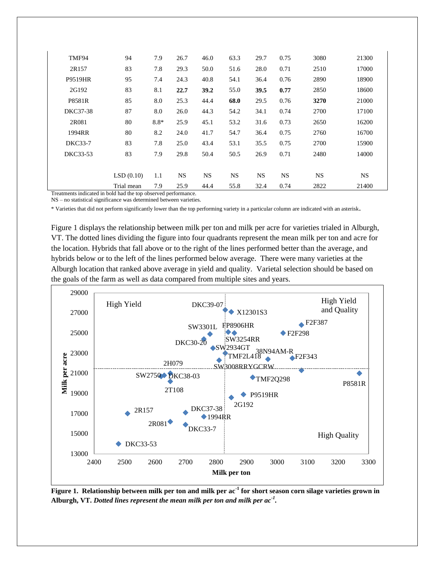| TMF94          | 94         | 7.9                 | 26.7      | 46.0      | 63.3 | 29.7      | 0.75      | 3080      | 21300     |  |
|----------------|------------|---------------------|-----------|-----------|------|-----------|-----------|-----------|-----------|--|
| 2R157          | 83         | 7.8                 | 29.3      | 50.0      | 51.6 | 28.0      | 0.71      | 2510      | 17000     |  |
| <b>P9519HR</b> | 95         | 7.4                 | 24.3      | 40.8      | 54.1 | 36.4      | 0.76      | 2890      | 18900     |  |
| 2G192          | 83         | 8.1                 | 22.7      | 39.2      | 55.0 | 39.5      | 0.77      | 2850      | 18600     |  |
| P8581R         | 85         | 8.0                 | 25.3      | 44.4      | 68.0 | 29.5      | 0.76      | 3270      | 21000     |  |
| DKC37-38       | 87         | 8.0                 | 26.0      | 44.3      | 54.2 | 34.1      | 0.74      | 2700      | 17100     |  |
| 2R081          | 80         | $8.8*$              | 25.9      | 45.1      | 53.2 | 31.6      | 0.73      | 2650      | 16200     |  |
| 1994RR         | 80         | 8.2                 | 24.0      | 41.7      | 54.7 | 36.4      | 0.75      | 2760      | 16700     |  |
| <b>DKC33-7</b> | 83         | 7.8                 | 25.0      | 43.4      | 53.1 | 35.5      | 0.75      | 2700      | 15900     |  |
| DKC33-53       | 83         | 7.9                 | 29.8      | 50.4      | 50.5 | 26.9      | 0.71      | 2480      | 14000     |  |
|                |            |                     |           |           |      |           |           |           |           |  |
|                | LSD(0.10)  | 1.1                 | <b>NS</b> | <b>NS</b> | NS.  | <b>NS</b> | <b>NS</b> | <b>NS</b> | <b>NS</b> |  |
| m.             | Trial mean | 7.9<br>$\mathbf{r}$ | 25.9      | 44.4      | 55.8 | 32.4      | 0.74      | 2822      | 21400     |  |
|                |            |                     |           |           |      |           |           |           |           |  |

Treatments indicated in bold had the top observed performance.

NS – no statistical significance was determined between varieties.

\* Varieties that did not perform significantly lower than the top performing variety in a particular column are indicated with an asterisk.

Figure 1 displays the relationship between milk per ton and milk per acre for varieties trialed in Alburgh, VT. The dotted lines dividing the figure into four quadrants represent the mean milk per ton and acre for the location. Hybrids that fall above or to the right of the lines performed better than the average, and hybrids below or to the left of the lines performed below average. There were many varieties at the Alburgh location that ranked above average in yield and quality. Varietal selection should be based on the goals of the farm as well as data compared from multiple sites and years.



**Figure 1. Relationship between milk per ton and milk per ac-1 for short season corn silage varieties grown in Alburgh, VT.** *Dotted lines represent the mean milk per ton and milk per ac-1 .*